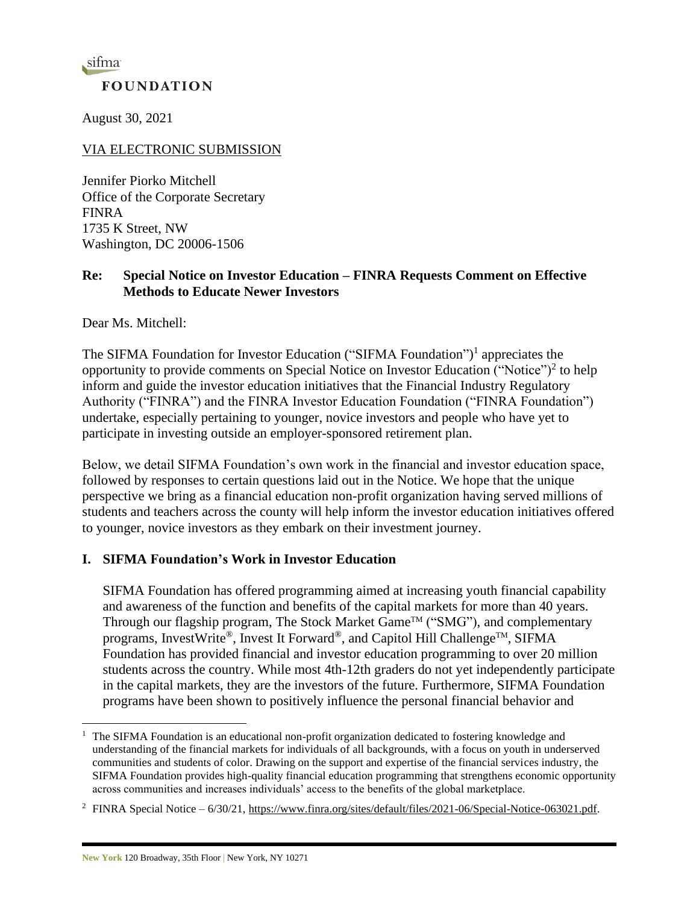sifma **FOUNDATION** 

August 30, 2021

VIA ELECTRONIC SUBMISSION

Jennifer Piorko Mitchell Office of the Corporate Secretary FINRA 1735 K Street, NW Washington, DC 20006-1506

### **Re: Special Notice on Investor Education – FINRA Requests Comment on Effective Methods to Educate Newer Investors**

Dear Ms. Mitchell:

The SIFMA Foundation for Investor Education ("SIFMA Foundation")<sup>1</sup> appreciates the opportunity to provide comments on Special Notice on Investor Education ("Notice")<sup>2</sup> to help inform and guide the investor education initiatives that the Financial Industry Regulatory Authority ("FINRA") and the FINRA Investor Education Foundation ("FINRA Foundation") undertake, especially pertaining to younger, novice investors and people who have yet to participate in investing outside an employer-sponsored retirement plan.

Below, we detail SIFMA Foundation's own work in the financial and investor education space, followed by responses to certain questions laid out in the Notice. We hope that the unique perspective we bring as a financial education non-profit organization having served millions of students and teachers across the county will help inform the investor education initiatives offered to younger, novice investors as they embark on their investment journey.

## **I. SIFMA Foundation's Work in Investor Education**

SIFMA Foundation has offered programming aimed at increasing youth financial capability and awareness of the function and benefits of the capital markets for more than 40 years. Through our flagship program, The Stock Market Game<sup>TM</sup> ("SMG"), and complementary programs, InvestWrite®, Invest It Forward®, and Capitol Hill Challenge<sup>TM</sup>, SIFMA Foundation has provided financial and investor education programming to over 20 million students across the country. While most 4th-12th graders do not yet independently participate in the capital markets, they are the investors of the future. Furthermore, SIFMA Foundation programs have been shown to positively influence the personal financial behavior and

<sup>1</sup> The SIFMA Foundation is an educational non-profit organization dedicated to fostering knowledge and understanding of the financial markets for individuals of all backgrounds, with a focus on youth in underserved communities and students of color. Drawing on the support and expertise of the financial services industry, the SIFMA Foundation provides high-quality financial education programming that strengthens economic opportunity across communities and increases individuals' access to the benefits of the global marketplace.

<sup>&</sup>lt;sup>2</sup> FINRA Special Notice – 6/30/21[, https://www.finra.org/sites/default/files/2021-06/Special-Notice-063021.pdf.](https://www.finra.org/sites/default/files/2021-06/Special-Notice-063021.pdf)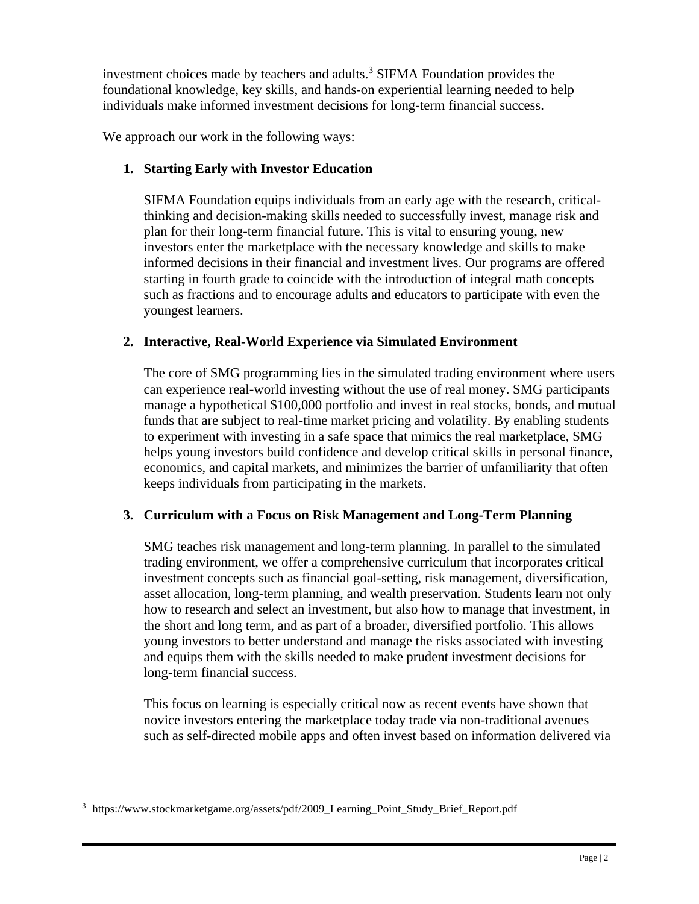investment choices made by teachers and adults. <sup>3</sup> SIFMA Foundation provides the foundational knowledge, key skills, and hands-on experiential learning needed to help individuals make informed investment decisions for long-term financial success.

We approach our work in the following ways:

# **1. Starting Early with Investor Education**

SIFMA Foundation equips individuals from an early age with the research, criticalthinking and decision-making skills needed to successfully invest, manage risk and plan for their long-term financial future. This is vital to ensuring young, new investors enter the marketplace with the necessary knowledge and skills to make informed decisions in their financial and investment lives. Our programs are offered starting in fourth grade to coincide with the introduction of integral math concepts such as fractions and to encourage adults and educators to participate with even the youngest learners.

# **2. Interactive, Real-World Experience via Simulated Environment**

The core of SMG programming lies in the simulated trading environment where users can experience real-world investing without the use of real money. SMG participants manage a hypothetical \$100,000 portfolio and invest in real stocks, bonds, and mutual funds that are subject to real-time market pricing and volatility. By enabling students to experiment with investing in a safe space that mimics the real marketplace, SMG helps young investors build confidence and develop critical skills in personal finance, economics, and capital markets, and minimizes the barrier of unfamiliarity that often keeps individuals from participating in the markets.

## **3. Curriculum with a Focus on Risk Management and Long-Term Planning**

SMG teaches risk management and long-term planning. In parallel to the simulated trading environment, we offer a comprehensive curriculum that incorporates critical investment concepts such as financial goal-setting, risk management, diversification, asset allocation, long-term planning, and wealth preservation. Students learn not only how to research and select an investment, but also how to manage that investment, in the short and long term, and as part of a broader, diversified portfolio. This allows young investors to better understand and manage the risks associated with investing and equips them with the skills needed to make prudent investment decisions for long-term financial success.

This focus on learning is especially critical now as recent events have shown that novice investors entering the marketplace today trade via non-traditional avenues such as self-directed mobile apps and often invest based on information delivered via

<sup>3</sup> [https://www.stockmarketgame.org/assets/pdf/2009\\_Learning\\_Point\\_Study\\_Brief\\_Report.pdf](https://www.stockmarketgame.org/assets/pdf/2009_Learning_Point_Study_Brief_Report.pdf)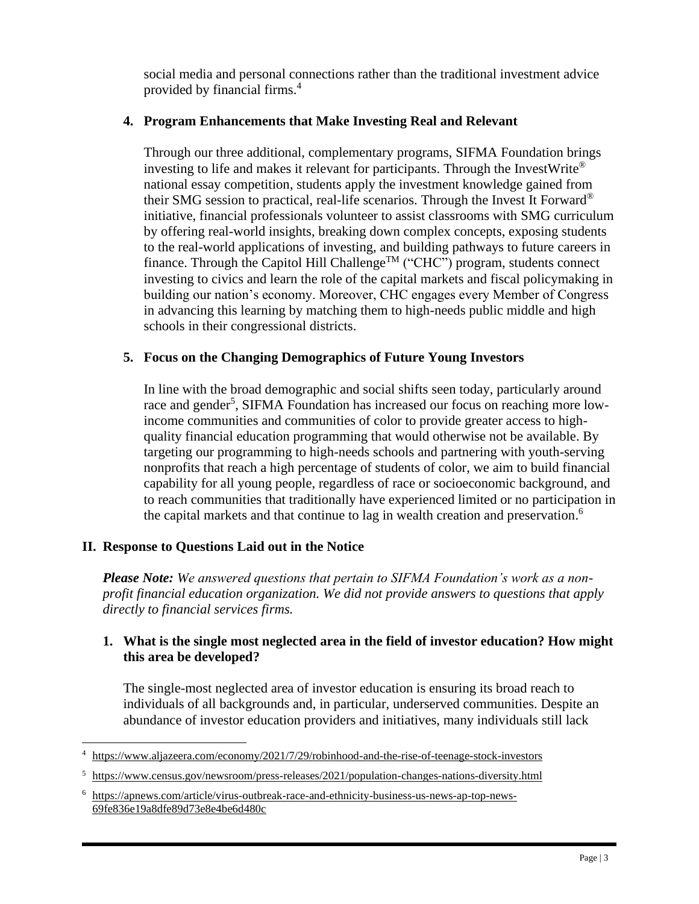social media and personal connections rather than the traditional investment advice provided by financial firms.<sup>4</sup>

#### **4. Program Enhancements that Make Investing Real and Relevant**

Through our three additional, complementary programs, SIFMA Foundation brings investing to life and makes it relevant for participants. Through the InvestWrite® national essay competition, students apply the investment knowledge gained from their SMG session to practical, real-life scenarios. Through the Invest It Forward<sup>®</sup> initiative, financial professionals volunteer to assist classrooms with SMG curriculum by offering real-world insights, breaking down complex concepts, exposing students to the real-world applications of investing, and building pathways to future careers in finance. Through the Capitol Hill Challenge<sup>TM</sup> ("CHC") program, students connect investing to civics and learn the role of the capital markets and fiscal policymaking in building our nation's economy. Moreover, CHC engages every Member of Congress in advancing this learning by matching them to high-needs public middle and high schools in their congressional districts.

### **5. Focus on the Changing Demographics of Future Young Investors**

In line with the broad demographic and social shifts seen today, particularly around race and gender<sup>5</sup>, SIFMA Foundation has increased our focus on reaching more lowincome communities and communities of color to provide greater access to highquality financial education programming that would otherwise not be available. By targeting our programming to high-needs schools and partnering with youth-serving nonprofits that reach a high percentage of students of color, we aim to build financial capability for all young people, regardless of race or socioeconomic background, and to reach communities that traditionally have experienced limited or no participation in the capital markets and that continue to lag in wealth creation and preservation.<sup>6</sup>

## **II. Response to Questions Laid out in the Notice**

*Please Note: We answered questions that pertain to SIFMA Foundation's work as a nonprofit financial education organization. We did not provide answers to questions that apply directly to financial services firms.*

## **1. What is the single most neglected area in the field of investor education? How might this area be developed?**

The single-most neglected area of investor education is ensuring its broad reach to individuals of all backgrounds and, in particular, underserved communities. Despite an abundance of investor education providers and initiatives, many individuals still lack

https://www.aliazeera.com/economy/2021/7/29/robinhood-and-the-rise-of-teenage-stock-investors

<sup>5</sup> <https://www.census.gov/newsroom/press-releases/2021/population-changes-nations-diversity.html>

<sup>6</sup> [https://apnews.com/article/virus-outbreak-race-and-ethnicity-business-us-news-ap-top-news-](https://apnews.com/article/virus-outbreak-race-and-ethnicity-business-us-news-ap-top-news-69fe836e19a8dfe89d73e8e4be6d480c)[69fe836e19a8dfe89d73e8e4be6d480c](https://apnews.com/article/virus-outbreak-race-and-ethnicity-business-us-news-ap-top-news-69fe836e19a8dfe89d73e8e4be6d480c)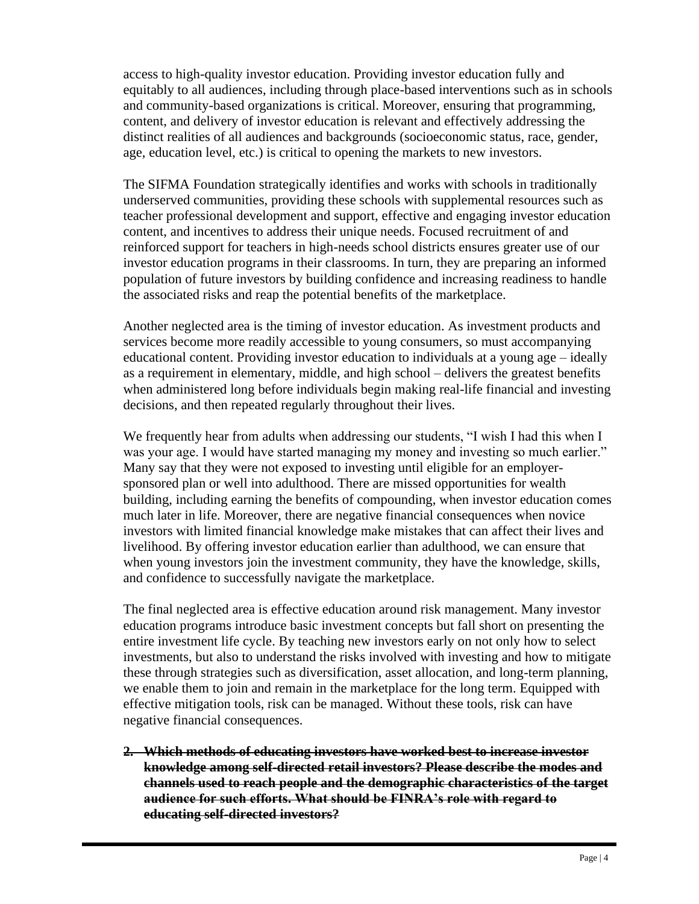access to high-quality investor education. Providing investor education fully and equitably to all audiences, including through place-based interventions such as in schools and community-based organizations is critical. Moreover, ensuring that programming, content, and delivery of investor education is relevant and effectively addressing the distinct realities of all audiences and backgrounds (socioeconomic status, race, gender, age, education level, etc.) is critical to opening the markets to new investors.

The SIFMA Foundation strategically identifies and works with schools in traditionally underserved communities, providing these schools with supplemental resources such as teacher professional development and support, effective and engaging investor education content, and incentives to address their unique needs. Focused recruitment of and reinforced support for teachers in high-needs school districts ensures greater use of our investor education programs in their classrooms. In turn, they are preparing an informed population of future investors by building confidence and increasing readiness to handle the associated risks and reap the potential benefits of the marketplace.

Another neglected area is the timing of investor education. As investment products and services become more readily accessible to young consumers, so must accompanying educational content. Providing investor education to individuals at a young age – ideally as a requirement in elementary, middle, and high school – delivers the greatest benefits when administered long before individuals begin making real-life financial and investing decisions, and then repeated regularly throughout their lives.

We frequently hear from adults when addressing our students, "I wish I had this when I was your age. I would have started managing my money and investing so much earlier." Many say that they were not exposed to investing until eligible for an employersponsored plan or well into adulthood. There are missed opportunities for wealth building, including earning the benefits of compounding, when investor education comes much later in life. Moreover, there are negative financial consequences when novice investors with limited financial knowledge make mistakes that can affect their lives and livelihood. By offering investor education earlier than adulthood, we can ensure that when young investors join the investment community, they have the knowledge, skills, and confidence to successfully navigate the marketplace.

The final neglected area is effective education around risk management. Many investor education programs introduce basic investment concepts but fall short on presenting the entire investment life cycle. By teaching new investors early on not only how to select investments, but also to understand the risks involved with investing and how to mitigate these through strategies such as diversification, asset allocation, and long-term planning, we enable them to join and remain in the marketplace for the long term. Equipped with effective mitigation tools, risk can be managed. Without these tools, risk can have negative financial consequences.

**2. Which methods of educating investors have worked best to increase investor knowledge among self-directed retail investors? Please describe the modes and channels used to reach people and the demographic characteristics of the target audience for such efforts. What should be FINRA's role with regard to educating self-directed investors?**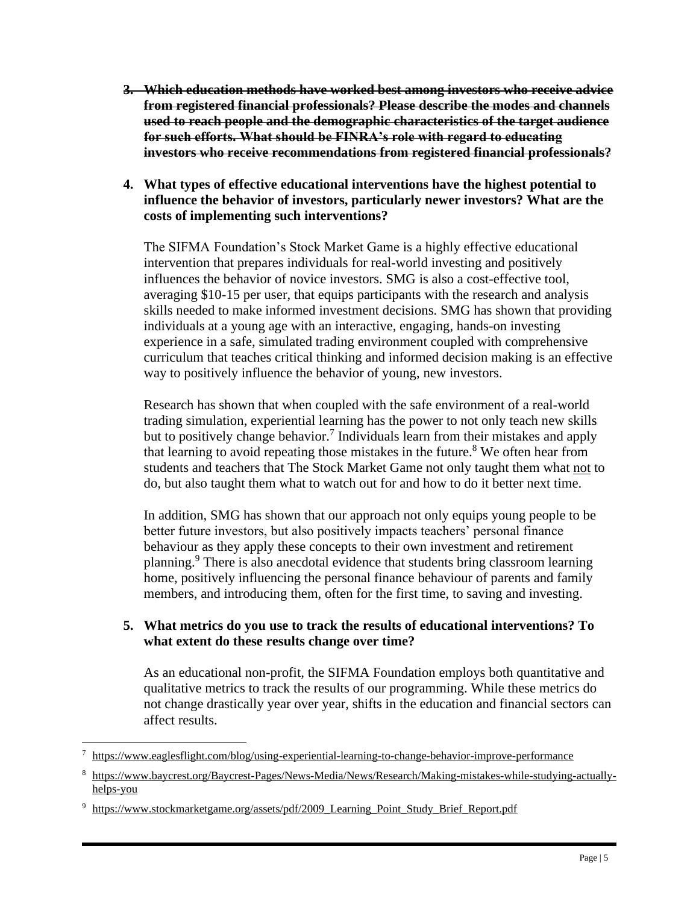- **3. Which education methods have worked best among investors who receive advice from registered financial professionals? Please describe the modes and channels used to reach people and the demographic characteristics of the target audience for such efforts. What should be FINRA's role with regard to educating investors who receive recommendations from registered financial professionals?**
- **4. What types of effective educational interventions have the highest potential to influence the behavior of investors, particularly newer investors? What are the costs of implementing such interventions?**

The SIFMA Foundation's Stock Market Game is a highly effective educational intervention that prepares individuals for real-world investing and positively influences the behavior of novice investors. SMG is also a cost-effective tool, averaging \$10-15 per user, that equips participants with the research and analysis skills needed to make informed investment decisions. SMG has shown that providing individuals at a young age with an interactive, engaging, hands-on investing experience in a safe, simulated trading environment coupled with comprehensive curriculum that teaches critical thinking and informed decision making is an effective way to positively influence the behavior of young, new investors.

Research has shown that when coupled with the safe environment of a real-world trading simulation, experiential learning has the power to not only teach new skills but to positively change behavior. 7 Individuals learn from their mistakes and apply that learning to avoid repeating those mistakes in the future.<sup>8</sup> We often hear from students and teachers that The Stock Market Game not only taught them what not to do, but also taught them what to watch out for and how to do it better next time.

In addition, SMG has shown that our approach not only equips young people to be better future investors, but also positively impacts teachers' personal finance behaviour as they apply these concepts to their own investment and retirement planning.<sup>9</sup> There is also anecdotal evidence that students bring classroom learning home, positively influencing the personal finance behaviour of parents and family members, and introducing them, often for the first time, to saving and investing.

### **5. What metrics do you use to track the results of educational interventions? To what extent do these results change over time?**

As an educational non-profit, the SIFMA Foundation employs both quantitative and qualitative metrics to track the results of our programming. While these metrics do not change drastically year over year, shifts in the education and financial sectors can affect results.

<sup>7</sup> <https://www.eaglesflight.com/blog/using-experiential-learning-to-change-behavior-improve-performance>

<sup>8</sup> [https://www.baycrest.org/Baycrest-Pages/News-Media/News/Research/Making-mistakes-while-studying-actually](https://www.baycrest.org/Baycrest-Pages/News-Media/News/Research/Making-mistakes-while-studying-actually-helps-you)[helps-you](https://www.baycrest.org/Baycrest-Pages/News-Media/News/Research/Making-mistakes-while-studying-actually-helps-you)

<sup>&</sup>lt;sup>9</sup> https://www.stockmarketgame.org/assets/pdf/2009 Learning Point Study Brief Report.pdf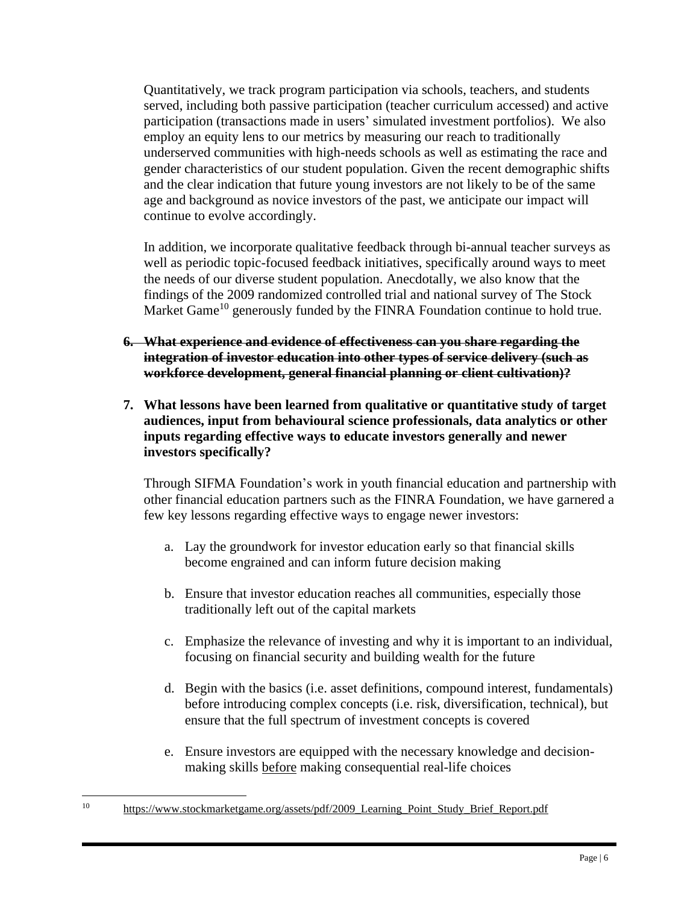Quantitatively, we track program participation via schools, teachers, and students served, including both passive participation (teacher curriculum accessed) and active participation (transactions made in users' simulated investment portfolios). We also employ an equity lens to our metrics by measuring our reach to traditionally underserved communities with high-needs schools as well as estimating the race and gender characteristics of our student population. Given the recent demographic shifts and the clear indication that future young investors are not likely to be of the same age and background as novice investors of the past, we anticipate our impact will continue to evolve accordingly.

In addition, we incorporate qualitative feedback through bi-annual teacher surveys as well as periodic topic-focused feedback initiatives, specifically around ways to meet the needs of our diverse student population. Anecdotally, we also know that the findings of the 2009 randomized controlled trial and national survey of The Stock Market Game<sup>10</sup> generously funded by the FINRA Foundation continue to hold true.

- **6. What experience and evidence of effectiveness can you share regarding the integration of investor education into other types of service delivery (such as workforce development, general financial planning or client cultivation)?**
- **7. What lessons have been learned from qualitative or quantitative study of target audiences, input from behavioural science professionals, data analytics or other inputs regarding effective ways to educate investors generally and newer investors specifically?**

Through SIFMA Foundation's work in youth financial education and partnership with other financial education partners such as the FINRA Foundation, we have garnered a few key lessons regarding effective ways to engage newer investors:

- a. Lay the groundwork for investor education early so that financial skills become engrained and can inform future decision making
- b. Ensure that investor education reaches all communities, especially those traditionally left out of the capital markets
- c. Emphasize the relevance of investing and why it is important to an individual, focusing on financial security and building wealth for the future
- d. Begin with the basics (i.e. asset definitions, compound interest, fundamentals) before introducing complex concepts (i.e. risk, diversification, technical), but ensure that the full spectrum of investment concepts is covered
- e. Ensure investors are equipped with the necessary knowledge and decisionmaking skills before making consequential real-life choices

<sup>10</sup> [https://www.stockmarketgame.org/assets/pdf/2009\\_Learning\\_Point\\_Study\\_Brief\\_Report.pdf](https://www.stockmarketgame.org/assets/pdf/2009_Learning_Point_Study_Brief_Report.pdf)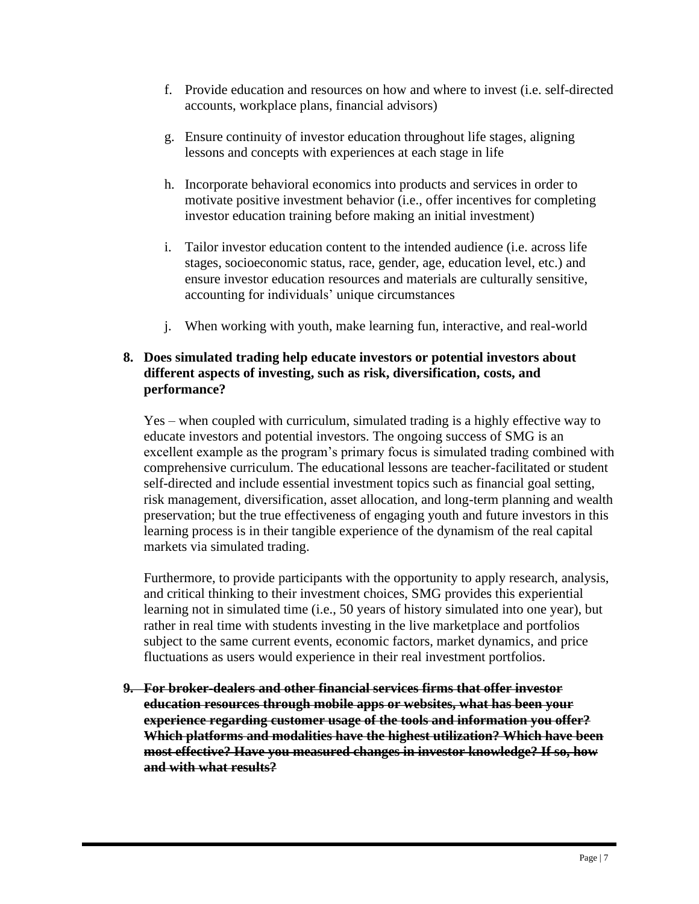- f. Provide education and resources on how and where to invest (i.e. self-directed accounts, workplace plans, financial advisors)
- g. Ensure continuity of investor education throughout life stages, aligning lessons and concepts with experiences at each stage in life
- h. Incorporate behavioral economics into products and services in order to motivate positive investment behavior (i.e., offer incentives for completing investor education training before making an initial investment)
- i. Tailor investor education content to the intended audience (i.e. across life stages, socioeconomic status, race, gender, age, education level, etc.) and ensure investor education resources and materials are culturally sensitive, accounting for individuals' unique circumstances
- j. When working with youth, make learning fun, interactive, and real-world

### **8. Does simulated trading help educate investors or potential investors about different aspects of investing, such as risk, diversification, costs, and performance?**

Yes – when coupled with curriculum, simulated trading is a highly effective way to educate investors and potential investors. The ongoing success of SMG is an excellent example as the program's primary focus is simulated trading combined with comprehensive curriculum. The educational lessons are teacher-facilitated or student self-directed and include essential investment topics such as financial goal setting, risk management, diversification, asset allocation, and long-term planning and wealth preservation; but the true effectiveness of engaging youth and future investors in this learning process is in their tangible experience of the dynamism of the real capital markets via simulated trading.

Furthermore, to provide participants with the opportunity to apply research, analysis, and critical thinking to their investment choices, SMG provides this experiential learning not in simulated time (i.e., 50 years of history simulated into one year), but rather in real time with students investing in the live marketplace and portfolios subject to the same current events, economic factors, market dynamics, and price fluctuations as users would experience in their real investment portfolios.

**9. For broker-dealers and other financial services firms that offer investor education resources through mobile apps or websites, what has been your experience regarding customer usage of the tools and information you offer? Which platforms and modalities have the highest utilization? Which have been most effective? Have you measured changes in investor knowledge? If so, how and with what results?**